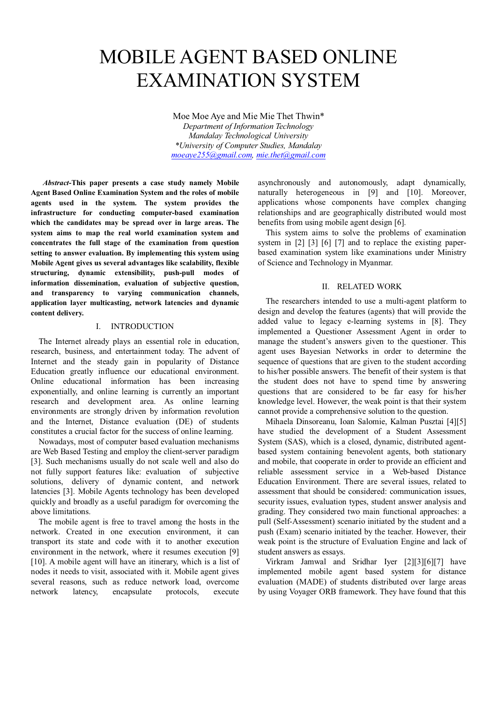# MOBILE AGENT BASED ONLINE EXAMINATION SYSTEM

Moe Moe Aye and Mie Mie Thet Thwin\* *Department of Information Technology Mandalay Technological University*

*\*University of Computer Studies, Mandalay moeaye255@gmail.com, mie.thet@gmail.com*

*Abstract***-This paper presents a case study namely Mobile Agent Based Online Examination System and the roles of mobile agents used in the system. The system provides the infrastructure for conducting computer-based examination which the candidates may be spread over in large areas. The system aims to map the real world examination system and concentrates the full stage of the examination from question setting to answer evaluation. By implementing this system using Mobile Agent gives us several advantages like scalability, flexible structuring, dynamic extensibility, push-pull modes of information dissemination, evaluation of subjective question, and transparency to varying communication channels, application layer multicasting, network latencies and dynamic content delivery.**

## I. INTRODUCTION

The Internet already plays an essential role in education, research, business, and entertainment today. The advent of Internet and the steady gain in popularity of Distance Education greatly influence our educational environment. Online educational information has been increasing exponentially, and online learning is currently an important research and development area. As online learning environments are strongly driven by information revolution and the Internet, Distance evaluation (DE) of students constitutes a crucial factor for the success of online learning.

Nowadays, most of computer based evaluation mechanisms are Web Based Testing and employ the client-server paradigm [3]. Such mechanisms usually do not scale well and also do not fully support features like: evaluation of subjective solutions, delivery of dynamic content, and network latencies [3]. Mobile Agents technology has been developed quickly and broadly as a useful paradigm for overcoming the above limitations.

The mobile agent is free to travel among the hosts in the network. Created in one execution environment, it can transport its state and code with it to another execution environment in the network, where it resumes execution [9] [10]. A mobile agent will have an itinerary, which is a list of nodes it needs to visit, associated with it. Mobile agent gives several reasons, such as reduce network load, overcome network latency, encapsulate protocols, execute

asynchronously and autonomously, adapt dynamically, naturally heterogeneous in [9] and [10]. Moreover, applications whose components have complex changing relationships and are geographically distributed would most benefits from using mobile agent design [6].

This system aims to solve the problems of examination system in [2] [3] [6] [7] and to replace the existing paperbased examination system like examinations under Ministry of Science and Technology in Myanmar.

#### II. RELATED WORK

The researchers intended to use a multi-agent platform to design and develop the features (agents) that will provide the added value to legacy e-learning systems in [8]. They implemented a Questioner Assessment Agent in order to manage the student's answers given to the questioner. This agent uses Bayesian Networks in order to determine the sequence of questions that are given to the student according to his/her possible answers. The benefit of their system is that the student does not have to spend time by answering questions that are considered to be far easy for his/her knowledge level. However, the weak point is that their system cannot provide a comprehensive solution to the question.

Mihaela Dinsoreanu, Ioan Salomie, Kalman Pusztai [4][5] have studied the development of a Student Assessment System (SAS), which is a closed, dynamic, distributed agentbased system containing benevolent agents, both stationary and mobile, that cooperate in order to provide an efficient and reliable assessment service in a Web-based Distance Education Environment. There are several issues, related to assessment that should be considered: communication issues, security issues, evaluation types, student answer analysis and grading. They considered two main functional approaches: a pull (Self-Assessment) scenario initiated by the student and a push (Exam) scenario initiated by the teacher. However, their weak point is the structure of Evaluation Engine and lack of student answers as essays.

Virkram Jamwal and Sridhar Iyer [2][3][6][7] have implemented mobile agent based system for distance evaluation (MADE) of students distributed over large areas by using Voyager ORB framework. They have found that this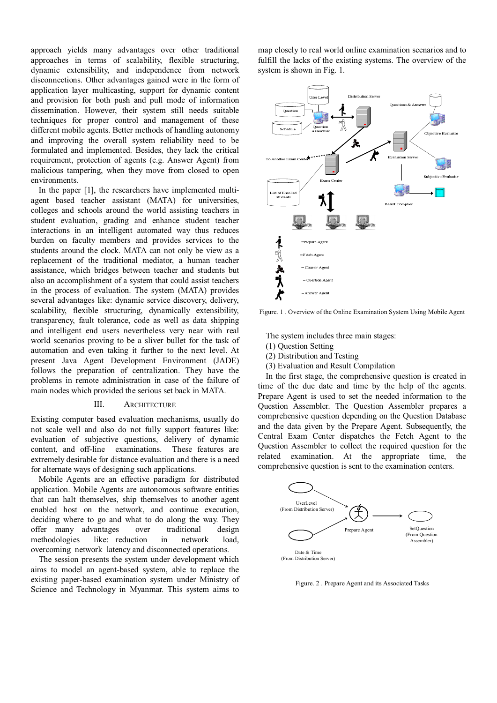approach yields many advantages over other traditional approaches in terms of scalability, flexible structuring, dynamic extensibility, and independence from network disconnections. Other advantages gained were in the form of application layer multicasting, support for dynamic content and provision for both push and pull mode of information dissemination. However, their system still needs suitable techniques for proper control and management of these different mobile agents. Better methods of handling autonomy and improving the overall system reliability need to be formulated and implemented. Besides, they lack the critical requirement, protection of agents (e.g. Answer Agent) from malicious tampering, when they move from closed to open environments.

In the paper [1], the researchers have implemented multiagent based teacher assistant (MATA) for universities, colleges and schools around the world assisting teachers in student evaluation, grading and enhance student teacher interactions in an intelligent automated way thus reduces burden on faculty members and provides services to the students around the clock. MATA can not only be view as a replacement of the traditional mediator, a human teacher assistance, which bridges between teacher and students but also an accomplishment of a system that could assist teachers in the process of evaluation. The system (MATA) provides several advantages like: dynamic service discovery, delivery, scalability, flexible structuring, dynamically extensibility, transparency, fault tolerance, code as well as data shipping and intelligent end users nevertheless very near with real world scenarios proving to be a sliver bullet for the task of automation and even taking it further to the next level. At present Java Agent Development Environment (JADE) follows the preparation of centralization. They have the problems in remote administration in case of the failure of main nodes which provided the serious set back in MATA.

## III. ARCHITECTURE

Existing computer based evaluation mechanisms, usually do not scale well and also do not fully support features like: evaluation of subjective questions, delivery of dynamic content, and off-line examinations. These features are extremely desirable for distance evaluation and there is a need for alternate ways of designing such applications.

Mobile Agents are an effective paradigm for distributed application. Mobile Agents are autonomous software entities that can halt themselves, ship themselves to another agent enabled host on the network, and continue execution, deciding where to go and what to do along the way. They offer many advantages over traditional design methodologies like: reduction in network load, overcoming network latency and disconnected operations.

The session presents the system under development which aims to model an agent-based system, able to replace the existing paper-based examination system under Ministry of Science and Technology in Myanmar. This system aims to map closely to real world online examination scenarios and to fulfill the lacks of the existing systems. The overview of the system is shown in Fig. 1.



Figure. 1 . Overview of the Online Examination System Using Mobile Agent

The system includes three main stages:

- (1) Question Setting
- (2) Distribution and Testing
- (3) Evaluation and Result Compilation

In the first stage, the comprehensive question is created in time of the due date and time by the help of the agents. Prepare Agent is used to set the needed information to the Question Assembler. The Question Assembler prepares a comprehensive question depending on the Question Database and the data given by the Prepare Agent. Subsequently, the Central Exam Center dispatches the Fetch Agent to the Question Assembler to collect the required question for the related examination. At the appropriate time, the comprehensive question is sent to the examination centers.



Figure. 2 . Prepare Agent and its Associated Tasks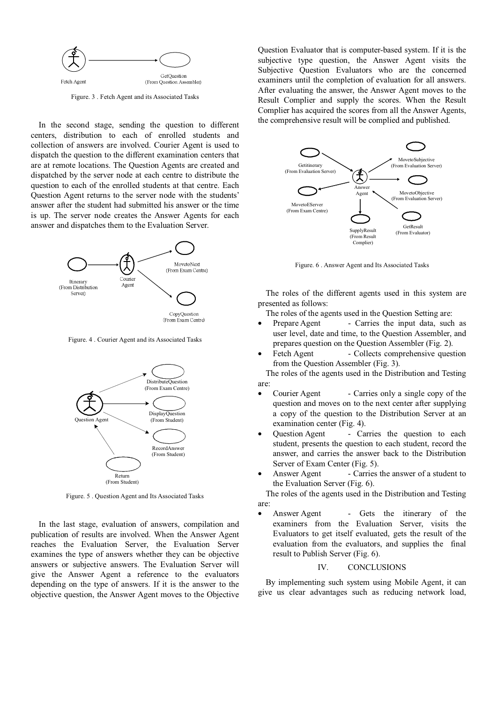

Figure. 3 . Fetch Agent and its Associated Tasks

In the second stage, sending the question to different centers, distribution to each of enrolled students and collection of answers are involved. Courier Agent is used to dispatch the question to the different examination centers that are at remote locations. The Question Agents are created and dispatched by the server node at each centre to distribute the question to each of the enrolled students at that centre. Each Question Agent returns to the server node with the students' answer after the student had submitted his answer or the time is up. The server node creates the Answer Agents for each answer and dispatches them to the Evaluation Server.



Figure. 4 . Courier Agent and its Associated Tasks



Figure. 5 . Question Agent and Its Associated Tasks

In the last stage, evaluation of answers, compilation and publication of results are involved. When the Answer Agent reaches the Evaluation Server, the Evaluation Server examines the type of answers whether they can be objective answers or subjective answers. The Evaluation Server will give the Answer Agent a reference to the evaluators depending on the type of answers. If it is the answer to the objective question, the Answer Agent moves to the Objective Question Evaluator that is computer-based system. If it is the subjective type question, the Answer Agent visits the Subjective Question Evaluators who are the concerned examiners until the completion of evaluation for all answers. After evaluating the answer, the Answer Agent moves to the Result Complier and supply the scores. When the Result Complier has acquired the scores from all the Answer Agents, the comprehensive result will be complied and published.



Figure. 6 . Answer Agent and Its Associated Tasks

The roles of the different agents used in this system are presented as follows:

The roles of the agents used in the Question Setting are:

- Prepare Agent Carries the input data, such as user level, date and time, to the Question Assembler, and prepares question on the Question Assembler (Fig. 2).
- Fetch Agent Collects comprehensive question from the Question Assembler (Fig. 3).

The roles of the agents used in the Distribution and Testing are:

- Courier Agent Carries only a single copy of the question and moves on to the next center after supplying a copy of the question to the Distribution Server at an examination center (Fig. 4).
- Question Agent Carries the question to each student, presents the question to each student, record the answer, and carries the answer back to the Distribution Server of Exam Center (Fig. 5).
- Answer Agent Carries the answer of a student to the Evaluation Server (Fig. 6).

The roles of the agents used in the Distribution and Testing are:

Answer Agent - Gets the itinerary of the examiners from the Evaluation Server, visits the Evaluators to get itself evaluated, gets the result of the evaluation from the evaluators, and supplies the final result to Publish Server (Fig. 6).

## IV. CONCLUSIONS

By implementing such system using Mobile Agent, it can give us clear advantages such as reducing network load,